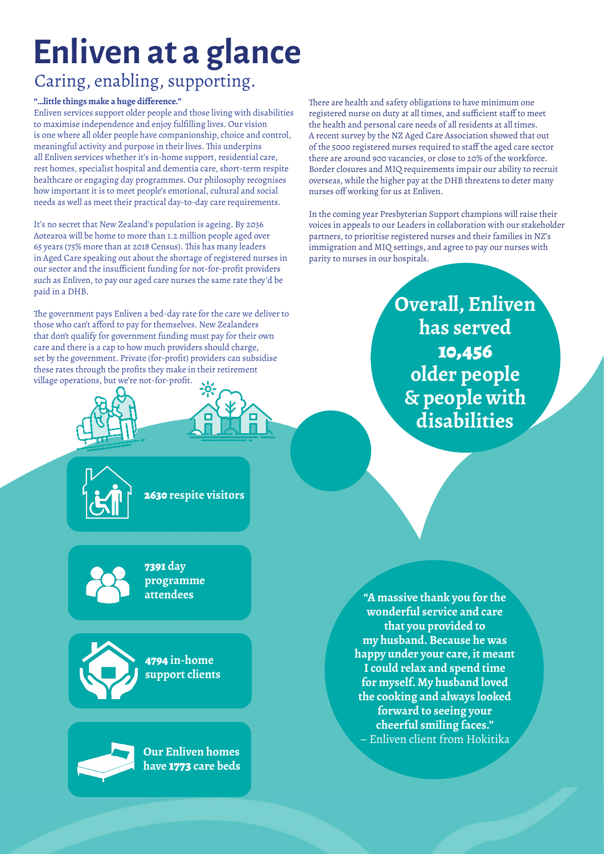## **Enliven at a glance**

### Caring, enabling, supporting.

#### **"…little things make a huge difference."**

Enliven services support older people and those living with disabilities to maximise independence and enjoy fulfilling lives. Our vision is one where all older people have companionship, choice and control, meaningful activity and purpose in their lives. This underpins all Enliven services whether it's in-home support, residential care, rest homes, specialist hospital and dementia care, short-term respite healthcare or engaging day programmes. Our philosophy recognises how important it is to meet people's emotional, cultural and social needs as well as meet their practical day-to-day care requirements.

It's no secret that New Zealand's population is ageing. By 2036 Aotearoa will be home to more than 1.2 million people aged over 65 years (75% more than at 2018 Census). This has many leaders in Aged Care speaking out about the shortage of registered nurses in our sector and the insufficient funding for not-for-profit providers such as Enliven, to pay our aged care nurses the same rate they'd be paid in a DHB.

The government pays Enliven a bed-day rate for the care we deliver to those who can't afford to pay for themselves. New Zealanders that don't qualify for government funding must pay for their own care and there is a cap to how much providers should charge, set by the government. Private (for-profit) providers can subsidise these rates through the profits they make in their retirement village operations, but we're not-for-profit.







2630 **respite visitors**



7391 **day programme**



**4794 in-home**  4794 **in-home support clients support clients**



**Our Enliven homes have** 1773 **care beds** There are health and safety obligations to have minimum one registered nurse on duty at all times, and sufficient staff to meet the health and personal care needs of all residents at all times. A recent survey by the NZ Aged Care Association showed that out of the 5000 registered nurses required to staff the aged care sector there are around 900 vacancies, or close to 20% of the workforce. Border closures and MIQ requirements impair our ability to recruit overseas, while the higher pay at the DHB threatens to deter many nurses off working for us at Enliven.

In the coming year Presbyterian Support champions will raise their voices in appeals to our Leaders in collaboration with our stakeholder partners, to prioritise registered nurses and their families in NZ's immigration and MIQ settings, and agree to pay our nurses with parity to nurses in our hospitals.

> **Overall, Enliven has served** 10,456 **older people & people with disabilities**

**attendees "A massive thank you for the wonderful service and care that you provided to my husband. Because he was happy under your care, it meant I could relax and spend time for myself. My husband loved the cooking and always looked forward to seeing your cheerful smiling faces."**  – Enliven client from Hokitika